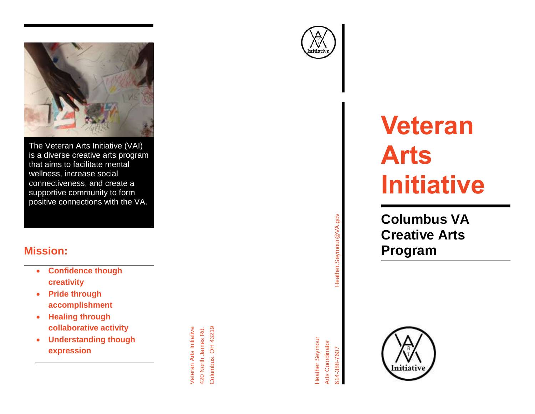

The Veteran Arts Initiative (VAI) is a diverse creative arts program that aims to facilitate mental wellness, increase social connectiveness, and create a supportive community to form positive connections with the VA.

### **Mission:**

- **Confidence though creativity**
- **Pride through accomplishment**
- **Healing through collaborative activity**
- **Understanding though expression**

Columbus, OH 43219 Columbus, OH 43219 Veteran Arts Initiative 420 North James Rd. Veteran Arts Initiative 420 North James Rd.



# Heather.Seymour@VA.gov Heather.Seymour@VA.gov

 $\bigwedge_{\text{nitativity}}$ 

## **Veteran Art s Initiative**

**Columbus VA Creative Arts Program** 

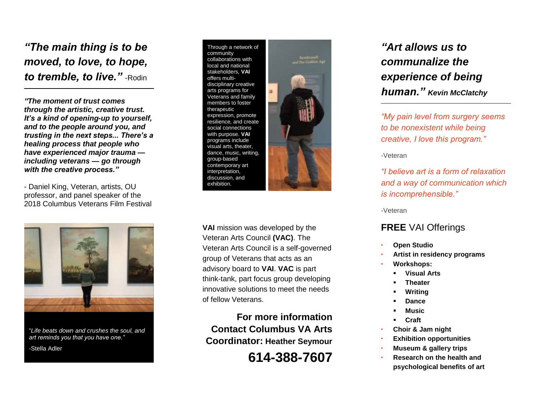*"The main thing is to be moved, to love, to hope, to tremble, to live."* -Rodin

*"The moment of trust comes through the artistic, creative trust. It's a kind of opening -up to yourself, and to the people around you, and trusting in the next steps... There's a healing process that people who have experienced major trauma including veterans — go through with the creative process."*

- Daniel King, Veteran, artists, OU professor, and panel speaker of the 2018 Columbus Veterans Film Festival



"*Life beats down and crushes the soul, and art reminds you that you have one."* -Stella Adler





**VAI** mission was developed by the Veteran Arts Council **(VAC )**. The Veteran Arts Council is a self -governed group of Veterans that acts as an advisory board to **VAI**. **VAC** is part think -tank, part focus group developing innovative solutions to meet the needs of fellow Veterans.

**For more information Contact Columbus VA Arts Coordinator: Heather Seymour**

**614 -388 -7607**

### *"Art allows us to communalize the experience of being human." Kevin McClatchy*

*"My pain level from surgery seems to be nonexistent while being creative , I love this program."* 

-Veteran

*"I believe art is a form of relaxation and a way of communication which is incomprehensible."*

-Veteran

#### **FREE** VAI Offering s

- **Open Studio**
- **Artist in residency programs**
- **Workshops:** 
	- **Visual Arts**
	- **Theater**
	- **Writing**
	- **Dance**
	- **Music**
	- **Craft**
- **Choir & Jam night**
- **Exhibition opportunities**
- **Museum & gallery trips**
- **Research on the health and psychological benefits of art**